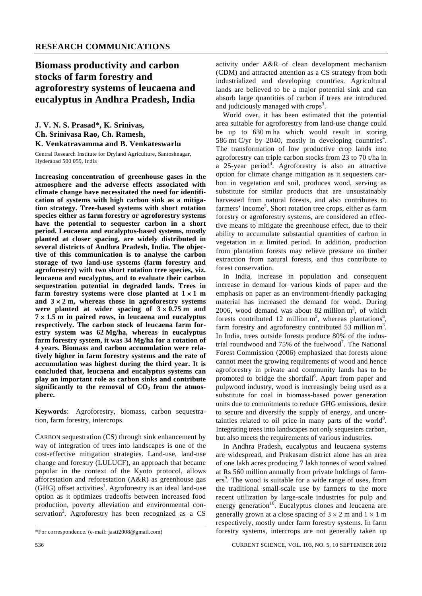## **Biomass productivity and carbon stocks of farm forestry and agroforestry systems of leucaena and eucalyptus in Andhra Pradesh, India**

**J. V. N. S. Prasad\*, K. Srinivas, Ch. Srinivasa Rao, Ch. Ramesh, K. Venkatravamma and B. Venkateswarlu** 

Central Research Institute for Dryland Agriculture, Santoshnagar, Hyderabad 500 059, India

**Increasing concentration of greenhouse gases in the atmosphere and the adverse effects associated with climate change have necessitated the need for identification of systems with high carbon sink as a mitigation strategy. Tree-based systems with short rotation species either as farm forestry or agroforestry systems have the potential to sequester carbon in a short period. Leucaena and eucalyptus-based systems, mostly planted at closer spacing, are widely distributed in several districts of Andhra Pradesh, India. The objective of this communication is to analyse the carbon storage of two land-use systems (farm forestry and agroforestry) with two short rotation tree species, viz. leucaena and eucalyptus, and to evaluate their carbon sequestration potential in degraded lands. Trees in farm forestry systems were close planted at**  $1 \times 1$  **m and 3** × **2 m, whereas those in agroforestry systems**  were planted at wider spacing of  $3 \times 0.75$  m and **7** × **1.5 m in paired rows, in leucaena and eucalyptus respectively. The carbon stock of leucaena farm forestry system was 62 Mg/ha, whereas in eucalyptus farm forestry system, it was 34 Mg/ha for a rotation of 4 years. Biomass and carbon accumulation were relatively higher in farm forestry systems and the rate of accumulation was highest during the third year. It is concluded that, leucaena and eucalyptus systems can play an important role as carbon sinks and contribute**  significantly to the removal of  $CO<sub>2</sub>$  from the atmos**phere.** 

**Keywords**: Agroforestry, biomass, carbon sequestration, farm forestry, intercrops.

CARBON sequestration (CS) through sink enhancement by way of integration of trees into landscapes is one of the cost-effective mitigation strategies. Land-use, land-use change and forestry (LULUCF), an approach that became popular in the context of the Kyoto protocol, allows afforestation and reforestation (A&R) as greenhouse gas (GHG) offset activities<sup>1</sup>. Agroforestry is an ideal land-use option as it optimizes tradeoffs between increased food production, poverty alleviation and environmental conservation<sup>2</sup>. Agroforestry has been recognized as a CS activity under A&R of clean development mechanism (CDM) and attracted attention as a CS strategy from both industrialized and developing countries. Agricultural lands are believed to be a major potential sink and can absorb large quantities of carbon if trees are introduced and judiciously managed with crops<sup>3</sup>.

 World over, it has been estimated that the potential area suitable for agroforestry from land-use change could be up to 630 m ha which would result in storing 586 mt C/yr by 2040, mostly in developing countries<sup>4</sup>. The transformation of low productive crop lands into agroforestry can triple carbon stocks from 23 to 70 t/ha in a 25-year period<sup>4</sup>. Agroforestry is also an attractive option for climate change mitigation as it sequesters carbon in vegetation and soil, produces wood, serving as substitute for similar products that are unsustainably harvested from natural forests, and also contributes to farmers' income<sup>5</sup>. Short rotation tree crops, either as farm forestry or agroforestry systems, are considered an effective means to mitigate the greenhouse effect, due to their ability to accumulate substantial quantities of carbon in vegetation in a limited period. In addition, production from plantation forests may relieve pressure on timber extraction from natural forests, and thus contribute to forest conservation.

 In India, increase in population and consequent increase in demand for various kinds of paper and the emphasis on paper as an environment-friendly packaging material has increased the demand for wood. During 2006, wood demand was about 82 million  $m<sup>3</sup>$ , of which forests contributed 12 million  $m^3$ , whereas plantations<sup>6</sup>, farm forestry and agroforestry contributed 53 million  $m<sup>3</sup>$ . In India, trees outside forests produce 80% of the industrial roundwood and  $75\%$  of the fuelwood<sup>7</sup>. The National Forest Commission (2006) emphasized that forests alone cannot meet the growing requirements of wood and hence agroforestry in private and community lands has to be promoted to bridge the shortfall<sup>6</sup>. Apart from paper and pulpwood industry, wood is increasingly being used as a substitute for coal in biomass-based power generation units due to commitments to reduce GHG emissions, desire to secure and diversify the supply of energy, and uncertainties related to oil price in many parts of the world<sup>8</sup>. Integrating trees into landscapes not only sequesters carbon, but also meets the requirements of various industries.

 In Andhra Pradesh, eucalyptus and leucaena systems are widespread, and Prakasam district alone has an area of one lakh acres producing 7 lakh tonnes of wood valued at Rs 560 million annually from private holdings of farmers<sup>9</sup>. The wood is suitable for a wide range of uses, from the traditional small-scale use by farmers to the more recent utilization by large-scale industries for pulp and energy generation<sup>10</sup>. Eucalyptus clones and leucaena are generally grown at a close spacing of  $3 \times 2$  m and  $1 \times 1$  m respectively, mostly under farm forestry systems. In farm forestry systems, intercrops are not generally taken up

<sup>\*</sup>For correspondence. (e-mail: jasti2008@gmail.com)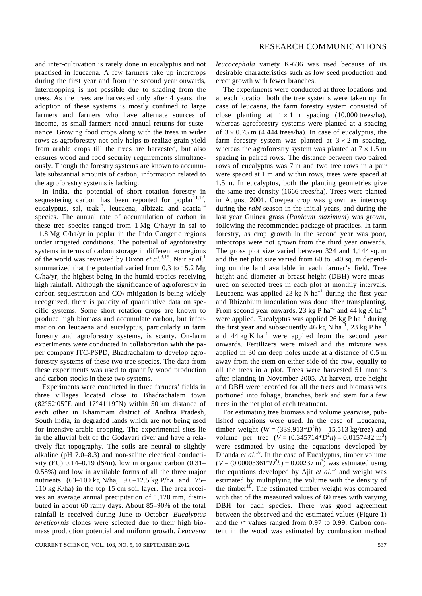and inter-cultivation is rarely done in eucalyptus and not practised in leucaena. A few farmers take up intercrops during the first year and from the second year onwards, intercropping is not possible due to shading from the trees. As the trees are harvested only after 4 years, the adoption of these systems is mostly confined to large farmers and farmers who have alternate sources of income, as small farmers need annual returns for sustenance. Growing food crops along with the trees in wider rows as agroforestry not only helps to realize grain yield from arable crops till the trees are harvested, but also ensures wood and food security requirements simultaneously. Though the forestry systems are known to accumulate substantial amounts of carbon, information related to the agroforestry systems is lacking.

 In India, the potential of short rotation forestry in sequestering carbon has been reported for poplar<sup>11,12</sup>, eucalyptus, sal, teak<sup>13</sup>, leucaena, albizzia and acacia<sup>14</sup> species. The annual rate of accumulation of carbon in these tree species ranged from 1 Mg C/ha/yr in sal to 11.8 Mg C/ha/yr in poplar in the Indo Gangetic regions under irrigated conditions. The potential of agroforestry systems in terms of carbon storage in different ecoregions of the world was reviewed by Dixon *et al*. 3,15. Nair *et al*. 1 summarized that the potential varied from 0.3 to 15.2 Mg C/ha/yr, the highest being in the humid tropics receiving high rainfall. Although the significance of agroforestry in carbon sequestration and  $CO<sub>2</sub>$  mitigation is being widely recognized, there is paucity of quantitative data on specific systems. Some short rotation crops are known to produce high biomass and accumulate carbon, but information on leucaena and eucalyptus, particularly in farm forestry and agroforestry systems, is scanty. On-farm experiments were conducted in collaboration with the paper company ITC-PSPD, Bhadrachalam to develop agroforestry systems of these two tree species. The data from these experiments was used to quantify wood production and carbon stocks in these two systems.

 Experiments were conducted in three farmers' fields in three villages located close to Bhadrachalam town (82°52′05″E and 17°41′19″N) within 50 km distance of each other in Khammam district of Andhra Pradesh, South India, in degraded lands which are not being used for intensive arable cropping. The experimental sites lie in the alluvial belt of the Godavari river and have a relatively flat topography. The soils are neutral to slightly alkaline (pH 7.0–8.3) and non-saline electrical conductivity (EC)  $0.14-0.19$  dS/m), low in organic carbon  $(0.31-$ 0.58%) and low in available forms of all the three major nutrients (63–100 kg N/ha, 9.6–12.5 kg P/ha and 75– 110 kg K/ha) in the top 15 cm soil layer. The area receives an average annual precipitation of 1,120 mm, distributed in about 60 rainy days. About 85–90% of the total rainfall is received during June to October. *Eucalyptus tereticornis* clones were selected due to their high biomass production potential and uniform growth. *Leucaena*  *leucocephala* variety K-636 was used because of its desirable characteristics such as low seed production and erect growth with fewer branches.

 The experiments were conducted at three locations and at each location both the tree systems were taken up. In case of leucaena, the farm forestry system consisted of close planting at  $1 \times 1$  m spacing (10,000 trees/ha), whereas agroforestry systems were planted at a spacing of  $3 \times 0.75$  m (4,444 trees/ha). In case of eucalyptus, the farm forestry system was planted at  $3 \times 2$  m spacing, whereas the agroforestry system was planted at  $7 \times 1.5$  m spacing in paired rows. The distance between two paired rows of eucalyptus was 7 m and two tree rows in a pair were spaced at 1 m and within rows, trees were spaced at 1.5 m. In eucalyptus, both the planting geometries give the same tree density (1666 trees/ha). Trees were planted in August 2001. Cowpea crop was grown as intercrop during the *rabi* season in the initial years, and during the last year Guinea grass (*Panicum maximum*) was grown, following the recommended package of practices. In farm forestry, as crop growth in the second year was poor, intercrops were not grown from the third year onwards. The gross plot size varied between 324 and 1,144 sq. m and the net plot size varied from 60 to 540 sq. m depending on the land available in each farmer's field. Tree height and diameter at breast height (DBH) were measured on selected trees in each plot at monthly intervals. Leucaena was applied 23 kg N  $ha^{-1}$  during the first year and Rhizobium inoculation was done after transplanting. From second year onwards, 23 kg P ha<sup>-1</sup> and 44 kg K ha<sup>-1</sup> were applied. Eucalyptus was applied 26 kg P ha<sup>-1</sup> during the first year and subsequently 46 kg N ha<sup>-1</sup>, 23 kg P ha<sup>-1</sup> and 44 kg K  $ha^{-1}$  were applied from the second year onwards. Fertilizers were mixed and the mixture was applied in 30 cm deep holes made at a distance of 0.5 m away from the stem on either side of the row, equally to all the trees in a plot. Trees were harvested 51 months after planting in November 2005. At harvest, tree height and DBH were recorded for all the trees and biomass was portioned into foliage, branches, bark and stem for a few trees in the net plot of each treatment.

 For estimating tree biomass and volume yearwise, published equations were used. In the case of Leucaena, timber weight  $(W = (339.913 * D^2 h) - 15.513 \text{ kg/tree})$  and volume per tree  $(V = (0.345714 \cdot \frac{\text{m}}{\text{s}}b) - 0.0157482 \text{ m}^3)$ were estimated by using the equations developed by Dhanda *et al.*<sup>16</sup>. In the case of Eucalyptus, timber volume  $(V = (0.00003361 * D^2 h) + 0.00237 m^3)$  was estimated using the equations developed by Ajit *et al.*17 and weight was estimated by multiplying the volume with the density of the timber<sup>18</sup>. The estimated timber weight was compared with that of the measured values of 60 trees with varying DBH for each species. There was good agreement between the observed and the estimated values (Figure 1) and the  $r^2$  values ranged from 0.97 to 0.99. Carbon content in the wood was estimated by combustion method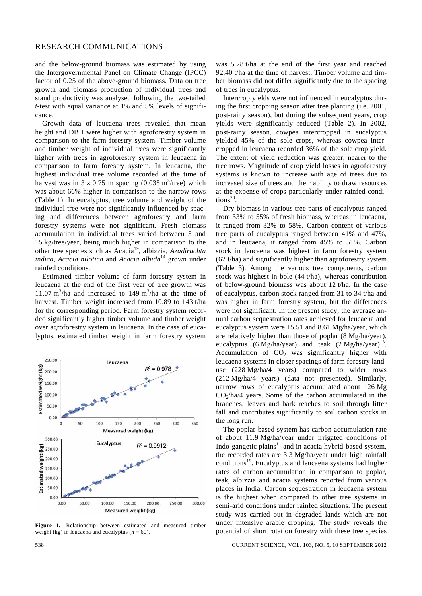and the below-ground biomass was estimated by using the Intergovernmental Panel on Climate Change (IPCC) factor of 0.25 of the above-ground biomass. Data on tree growth and biomass production of individual trees and stand productivity was analysed following the two-tailed *t*-test with equal variance at 1% and 5% levels of significance.

 Growth data of leucaena trees revealed that mean height and DBH were higher with agroforestry system in comparison to the farm forestry system. Timber volume and timber weight of individual trees were significantly higher with trees in agroforestry system in leucaena in comparison to farm forestry system. In leucaena, the highest individual tree volume recorded at the time of harvest was in  $3 \times 0.75$  m spacing (0.035 m<sup>3</sup>/tree) which was about 66% higher in comparison to the narrow rows (Table 1). In eucalyptus, tree volume and weight of the individual tree were not significantly influenced by spacing and differences between agroforestry and farm forestry systems were not significant. Fresh biomass accumulation in individual trees varied between 5 and 15 kg/tree/year, being much higher in comparison to the other tree species such as Acacia19, albizzia, *Azadirachta indica*, *Acacia nilotica* and *Acacia albida*14 grown under rainfed conditions.

 Estimated timber volume of farm forestry system in leucaena at the end of the first year of tree growth was 11.07 m<sup>3</sup>/ha and increased to 149 m<sup>3</sup>/ha at the time of harvest. Timber weight increased from 10.89 to 143 t/ha for the corresponding period. Farm forestry system recorded significantly higher timber volume and timber weight over agroforestry system in leucaena. In the case of eucalyptus, estimated timber weight in farm forestry system



**Figure 1.** Relationship between estimated and measured timber weight (kg) in leucaena and eucalyptus ( $n = 60$ ).

was 5.28 t/ha at the end of the first year and reached 92.40 t/ha at the time of harvest. Timber volume and timber biomass did not differ significantly due to the spacing of trees in eucalyptus.

 Intercrop yields were not influenced in eucalyptus during the first cropping season after tree planting (i.e. 2001, post-rainy season), but during the subsequent years, crop yields were significantly reduced (Table 2). In 2002, post-rainy season, cowpea intercropped in eucalyptus yielded 45% of the sole crops, whereas cowpea intercropped in leucaena recorded 36% of the sole crop yield. The extent of yield reduction was greater, nearer to the tree rows. Magnitude of crop yield losses in agroforestry systems is known to increase with age of trees due to increased size of trees and their ability to draw resources at the expense of crops particularly under rainfed condi $tions<sup>20</sup>$ .

 Dry biomass in various tree parts of eucalyptus ranged from 33% to 55% of fresh biomass, whereas in leucaena, it ranged from 32% to 58%. Carbon content of various tree parts of eucalyptus ranged between 41% and 47%, and in leucaena, it ranged from 45% to 51%. Carbon stock in leucaena was highest in farm forestry system (62 t/ha) and significantly higher than agroforestry system (Table 3). Among the various tree components, carbon stock was highest in bole (44 t/ha), whereas contribution of below-ground biomass was about 12 t/ha. In the case of eucalyptus, carbon stock ranged from 31 to 34 t/ha and was higher in farm forestry system, but the differences were not significant. In the present study, the average annual carbon sequestration rates achieved for leucaena and eucalyptus system were 15.51 and 8.61 Mg/ha/year, which are relatively higher than those of poplar (8 Mg/ha/year), eucalyptus (6 Mg/ha/year) and teak  $(2 \text{ Mg/ha/year})^{13}$ . Accumulation of  $CO<sub>2</sub>$  was significantly higher with leucaena systems in closer spacings of farm forestry landuse (228 Mg/ha/4 years) compared to wider rows (212 Mg/ha/4 years) (data not presented). Similarly, narrow rows of eucalyptus accumulated about 126 Mg  $CO<sub>2</sub>/ha/4$  years. Some of the carbon accumulated in the branches, leaves and bark reaches to soil through litter fall and contributes significantly to soil carbon stocks in the long run.

 The poplar-based system has carbon accumulation rate of about 11.9 Mg/ha/year under irrigated conditions of Indo-gangetic plains $11$  and in acacia hybrid-based system, the recorded rates are 3.3 Mg/ha/year under high rainfall conditions<sup>19</sup>. Eucalyptus and leucaena systems had higher rates of carbon accumulation in comparison to poplar, teak, albizzia and acacia systems reported from various places in India. Carbon sequestration in leucaena system is the highest when compared to other tree systems in semi-arid conditions under rainfed situations. The present study was carried out in degraded lands which are not under intensive arable cropping. The study reveals the potential of short rotation forestry with these tree species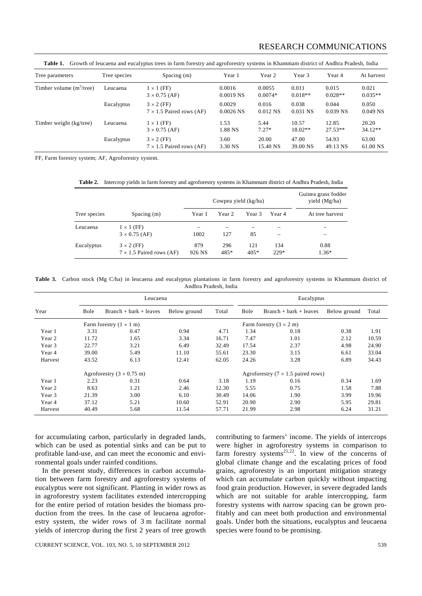## RESEARCH COMMUNICATIONS

| Tree parameters             | Tree species | Spacing $(m)$                                        | Year 1                | Year 2              | Year 3              | Year 4              | At harvest          |
|-----------------------------|--------------|------------------------------------------------------|-----------------------|---------------------|---------------------|---------------------|---------------------|
| Timber volume $(m^3$ /tree) | Leucaena     | $1 \times 1$ (FF)<br>$3 \times 0.75$ (AF)            | 0.0016<br>$0.0019$ NS | 0.0055<br>$0.0074*$ | 0.011<br>$0.018**$  | 0.015<br>$0.028**$  | 0.021<br>$0.035**$  |
|                             | Eucalyptus   | $3 \times 2$ (FF)<br>$7 \times 1.5$ Paired rows (AF) | 0.0029<br>$0.0026$ NS | 0.016<br>$0.012$ NS | 0.038<br>$0.031$ NS | 0.044<br>$0.039$ NS | 0.050<br>$0.049$ NS |
| Timber weight (kg/tree)     | Leucaena     | $1 \times 1$ (FF)<br>$3 \times 0.75$ (AF)            | 1.53<br>1.88 NS       | 5.44<br>$7.27*$     | 10.57<br>$18.02**$  | 12.85<br>$27.53**$  | 20.20<br>$34.12**$  |
|                             | Eucalyptus   | $3 \times 2$ (FF)<br>$7 \times 1.5$ Paired rows (AF) | 3.60<br>3.30 NS       | 20.00<br>15.40 NS   | 47.00<br>39.00 NS   | 54.93<br>49.13 NS   | 63.00<br>61.00 NS   |

**Table 1.** Growth of leucaena and eucalyptus trees in farm forestry and agroforestry systems in Khammam district of Andhra Pradesh, India

FF, Farm forestry system; AF, Agroforestry system.

**Table 2.** Intercrop yields in farm forestry and agroforestry systems in Khammam district of Andhra Pradesh, India

|              |                                                      |               | Cowpea yield (kg/ha) | Guinea grass fodder<br>yield (Mg/ha) |               |                 |
|--------------|------------------------------------------------------|---------------|----------------------|--------------------------------------|---------------|-----------------|
| Tree species | Spacing $(m)$                                        | Year 1        | Year 2               | Year 3                               | Year 4        | At tree harvest |
| Leucaena     | $1 \times 1$ (FF)<br>$3 \times 0.75$ (AF)            | 1002          | 127                  | 85                                   |               |                 |
| Eucalyptus   | $3 \times 2$ (FF)<br>$7 \times 1.5$ Paired rows (AF) | 879<br>926 NS | 296<br>485*          | 121<br>$405*$                        | 134<br>$229*$ | 0.88<br>$1.36*$ |

Table 3. Carbon stock (Mg C/ha) in leucaena and eucalyptus plantations in farm forestry and agroforestry systems in Khammam district of Andhra Pradesh, India

|                                          |       | Leucaena                       |              |                                            |                                        | Eucalyptus               |              |       |  |  |
|------------------------------------------|-------|--------------------------------|--------------|--------------------------------------------|----------------------------------------|--------------------------|--------------|-------|--|--|
| Year                                     | Bole  | $Branch + bark + leaves$       | Below ground | Total                                      | Bole                                   | $Branch + bark + leaves$ | Below ground | Total |  |  |
|                                          |       | Farm forestry $(1 \times 1$ m) |              |                                            | Farm forestry $(3 \times 2 \text{ m})$ |                          |              |       |  |  |
| Year 1                                   | 3.31  | 0.47                           | 0.94         | 4.71                                       | 1.34                                   | 0.18                     | 0.38         | 1.91  |  |  |
| Year 2                                   | 11.72 | 1.65                           | 3.34         | 16.71                                      | 7.47                                   | 1.01                     | 2.12         | 10.59 |  |  |
| Year 3                                   | 22.77 | 3.21                           | 6.49         | 32.49                                      | 17.54                                  | 2.37                     | 4.98         | 24.90 |  |  |
| Year 4                                   | 39.00 | 5.49                           | 11.10        | 55.61                                      | 23.30                                  | 3.15                     | 6.61         | 33.04 |  |  |
| Harvest                                  | 43.52 | 6.13                           | 12.41        | 62.05                                      | 24.26                                  | 3.28                     | 6.89         | 34.43 |  |  |
| Agroforestry $(3 \times 0.75 \text{ m})$ |       |                                |              | Agroforestry ( $7 \times 1.5$ paired rows) |                                        |                          |              |       |  |  |
| Year 1                                   | 2.23  | 0.31                           | 0.64         | 3.18                                       | 1.19                                   | 0.16                     | 0.34         | 1.69  |  |  |
| Year 2                                   | 8.63  | 1.21                           | 2.46         | 12.30                                      | 5.55                                   | 0.75                     | 1.58         | 7.88  |  |  |
| Year 3                                   | 21.39 | 3.00                           | 6.10         | 30.49                                      | 14.06                                  | 1.90                     | 3.99         | 19.96 |  |  |
| Year 4                                   | 37.12 | 5.21                           | 10.60        | 52.91                                      | 20.90                                  | 2.90                     | 5.95         | 29.81 |  |  |
| Harvest                                  | 40.49 | 5.68                           | 11.54        | 57.71                                      | 21.99                                  | 2.98                     | 6.24         | 31.21 |  |  |

for accumulating carbon, particularly in degraded lands, which can be used as potential sinks and can be put to profitable land-use, and can meet the economic and environmental goals under rainfed conditions.

 In the present study, differences in carbon accumulation between farm forestry and agroforestry systems of eucalyptus were not significant. Planting in wider rows as in agroforestry system facilitates extended intercropping for the entire period of rotation besides the biomass production from the trees. In the case of leucaena agroforestry system, the wider rows of 3 m facilitate normal yields of intercrop during the first 2 years of tree growth contributing to farmers' income. The yields of intercrops were higher in agroforestry systems in comparison to farm forestry systems<sup>21,22</sup>. In view of the concerns of global climate change and the escalating prices of food grains, agroforestry is an important mitigation strategy which can accumulate carbon quickly without impacting food grain production. However, in severe degraded lands which are not suitable for arable intercropping, farm